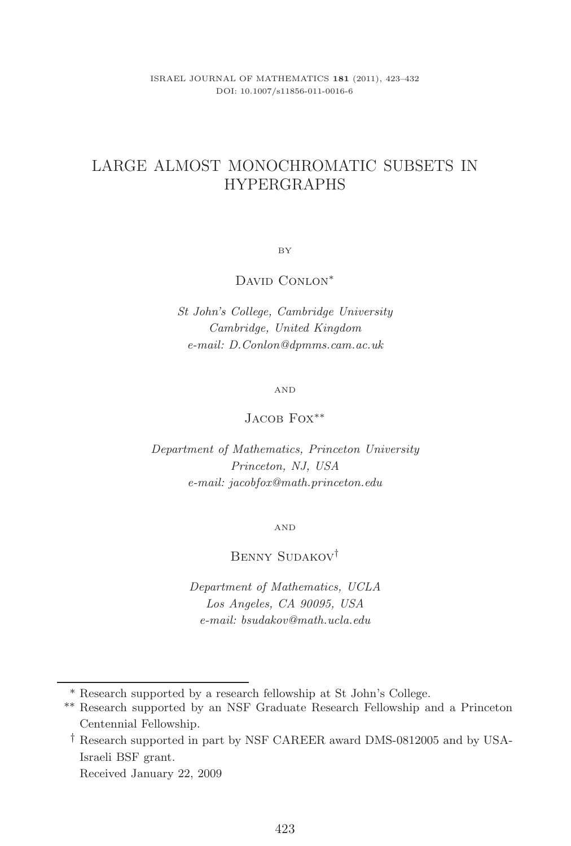# LARGE ALMOST MONOCHROMATIC SUBSETS IN HYPERGRAPHS

BY

DAVID CONLON<sup>\*</sup>

*St John's College, Cambridge University Cambridge, United Kingdom e-mail: D.Conlon@dpmms.cam.ac.uk*

AND

# Jacob Fox<sup>\*\*</sup>

*Department of Mathematics, Princeton University Princeton, NJ, USA e-mail: jacobfox@math.princeton.edu*

AND

# Benny Sudakov†

*Department of Mathematics, UCLA Los Angeles, CA 90095, USA e-mail: bsudakov@math.ucla.edu*

<sup>∗</sup> Research supported by a research fellowship at St John's College.

<sup>∗∗</sup> Research supported by an NSF Graduate Research Fellowship and a Princeton Centennial Fellowship.

<sup>†</sup> Research supported in part by NSF CAREER award DMS-0812005 and by USA-Israeli BSF grant. Received January 22, 2009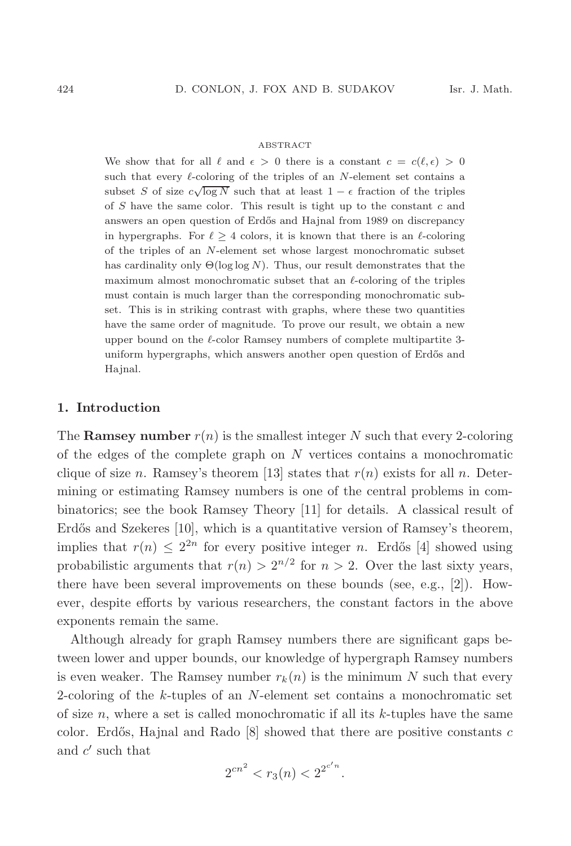#### ABSTRACT

We show that for all  $\ell$  and  $\epsilon > 0$  there is a constant  $c = c(\ell, \epsilon) > 0$ such that every  $\ell$ -coloring of the triples of an N-element set contains a subset S of size  $c\sqrt{\log N}$  such that at least  $1 - \epsilon$  fraction of the triples of  $S$  have the same color. This result is tight up to the constant  $c$  and answers an open question of Erd˝os and Hajnal from 1989 on discrepancy in hypergraphs. For  $\ell \geq 4$  colors, it is known that there is an  $\ell$ -coloring of the triples of an N-element set whose largest monochromatic subset has cardinality only  $\Theta(\log \log N)$ . Thus, our result demonstrates that the maximum almost monochromatic subset that an  $\ell$ -coloring of the triples must contain is much larger than the corresponding monochromatic subset. This is in striking contrast with graphs, where these two quantities have the same order of magnitude. To prove our result, we obtain a new upper bound on the  $\ell$ -color Ramsey numbers of complete multipartite 3uniform hypergraphs, which answers another open question of Erdős and Hainal.

#### **1. Introduction**

The **Ramsey number**  $r(n)$  is the smallest integer N such that every 2-coloring of the edges of the complete graph on N vertices contains a monochromatic clique of size n. Ramsey's theorem [13] states that  $r(n)$  exists for all n. Determining or estimating Ramsey numbers is one of the central problems in combinatorics; see the book Ramsey Theory [11] for details. A classical result of Erdős and Szekeres [10], which is a quantitative version of Ramsey's theorem, implies that  $r(n) \leq 2^{2n}$  for every positive integer n. Erdős [4] showed using probabilistic arguments that  $r(n) > 2^{n/2}$  for  $n > 2$ . Over the last sixty years, there have been several improvements on these bounds (see, e.g., [2]). However, despite efforts by various researchers, the constant factors in the above exponents remain the same.

Although already for graph Ramsey numbers there are significant gaps between lower and upper bounds, our knowledge of hypergraph Ramsey numbers is even weaker. The Ramsey number  $r_k(n)$  is the minimum N such that every 2-coloring of the k-tuples of an N-element set contains a monochromatic set of size  $n$ , where a set is called monochromatic if all its  $k$ -tuples have the same color. Erdős, Hajnal and Rado  $[8]$  showed that there are positive constants c and  $c'$  such that

$$
2^{cn^2} < r_3(n) < 2^{2^{c'n}}.
$$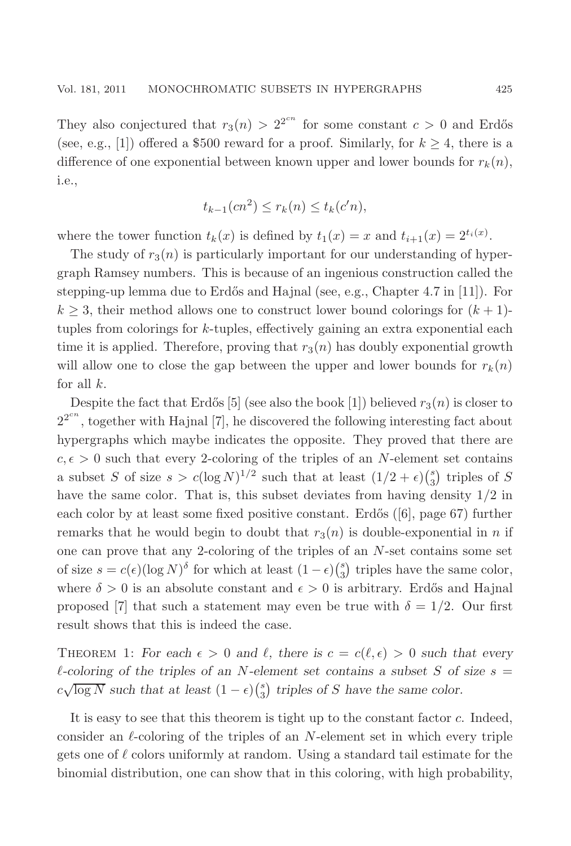They also conjectured that  $r_3(n) > 2^{2^{cn}}$  for some constant  $c > 0$  and Erdős (see, e.g., [1]) offered a \$500 reward for a proof. Similarly, for  $k \geq 4$ , there is a difference of one exponential between known upper and lower bounds for  $r_k(n)$ , i.e.,

$$
t_{k-1}(cn^2) \le r_k(n) \le t_k(c'n),
$$

where the tower function  $t_k(x)$  is defined by  $t_1(x) = x$  and  $t_{i+1}(x) = 2^{t_i(x)}$ .

The study of  $r_3(n)$  is particularly important for our understanding of hypergraph Ramsey numbers. This is because of an ingenious construction called the stepping-up lemma due to Erdős and Hajnal (see, e.g., Chapter 4.7 in [11]). For  $k \geq 3$ , their method allows one to construct lower bound colorings for  $(k + 1)$ tuples from colorings for k-tuples, effectively gaining an extra exponential each time it is applied. Therefore, proving that  $r_3(n)$  has doubly exponential growth will allow one to close the gap between the upper and lower bounds for  $r_k(n)$ for all  $k$ .

Despite the fact that Erdős [5] (see also the book [1]) believed  $r_3(n)$  is closer to  $2^{2^{cn}}$ , together with Hajnal [7], he discovered the following interesting fact about hypergraphs which maybe indicates the opposite. They proved that there are  $c, \epsilon > 0$  such that every 2-coloring of the triples of an N-element set contains a subset S of size  $s > c(\log N)^{1/2}$  such that at least  $(1/2 + \epsilon) {s \choose 3}$  triples of S have the same color. That is, this subset deviates from having density  $1/2$  in each color by at least some fixed positive constant. Erdős  $(6)$ , page 67) further remarks that he would begin to doubt that  $r_3(n)$  is double-exponential in n if one can prove that any 2-coloring of the triples of an N-set contains some set of size  $s = c(\epsilon)(\log N)^{\delta}$  for which at least  $(1 - \epsilon)\binom{s}{3}$  triples have the same color, where  $\delta > 0$  is an absolute constant and  $\epsilon > 0$  is arbitrary. Erdős and Hajnal proposed [7] that such a statement may even be true with  $\delta = 1/2$ . Our first result shows that this is indeed the case.

THEOREM 1: For each  $\epsilon > 0$  and  $\ell$ , there is  $c = c(\ell, \epsilon) > 0$  such that every  $\ell$ -coloring of the triples of an N-element set contains a subset S of size  $s =$  $c\sqrt{\log N}$  such that at least  $(1 - \epsilon)\binom{s}{3}$  triples of S have the same color.

It is easy to see that this theorem is tight up to the constant factor c. Indeed, consider an  $\ell$ -coloring of the triples of an N-element set in which every triple gets one of  $\ell$  colors uniformly at random. Using a standard tail estimate for the binomial distribution, one can show that in this coloring, with high probability,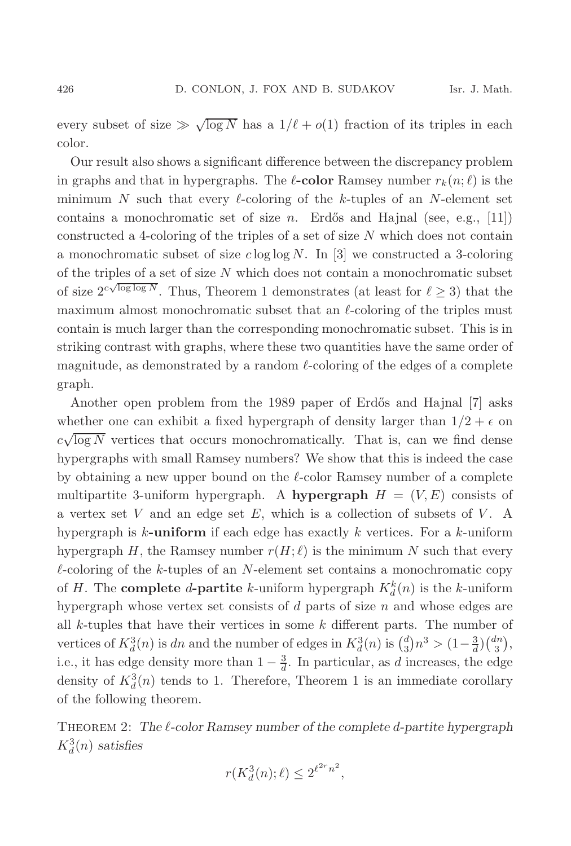every subset of size  $\gg \sqrt{\log N}$  has a  $1/\ell + o(1)$  fraction of its triples in each color.

Our result also shows a significant difference between the discrepancy problem in graphs and that in hypergraphs. The  $\ell$ **-color** Ramsey number  $r_k(n;\ell)$  is the minimum N such that every  $\ell$ -coloring of the k-tuples of an N-element set contains a monochromatic set of size n. Erdős and Hajnal (see, e.g., [11]) constructed a 4-coloring of the triples of a set of size N which does not contain a monochromatic subset of size  $c \log \log N$ . In [3] we constructed a 3-coloring of the triples of a set of size  $N$  which does not contain a monochromatic subset of size  $2^{c\sqrt{\log\log N}}$ . Thus, Theorem 1 demonstrates (at least for  $\ell \geq 3$ ) that the maximum almost monochromatic subset that an  $\ell$ -coloring of the triples must contain is much larger than the corresponding monochromatic subset. This is in striking contrast with graphs, where these two quantities have the same order of magnitude, as demonstrated by a random  $\ell$ -coloring of the edges of a complete graph.

Another open problem from the 1989 paper of Erdős and Hajnal [7] asks whether one can exhibit a fixed hypergraph of density larger than  $1/2 + \epsilon$  on whence the can emissive a linear hypergraph or density ranger ends  $1/2 + 0$  on  $c\sqrt{\log N}$  vertices that occurs monochromatically. That is, can we find dense hypergraphs with small Ramsey numbers? We show that this is indeed the case by obtaining a new upper bound on the  $\ell$ -color Ramsey number of a complete multipartite 3-uniform hypergraph. A **hypergraph**  $H = (V, E)$  consists of a vertex set  $V$  and an edge set  $E$ , which is a collection of subsets of  $V$ . A hypergraph is k**-uniform** if each edge has exactly k vertices. For a k-uniform hypergraph H, the Ramsey number  $r(H; \ell)$  is the minimum N such that every  $\ell$ -coloring of the k-tuples of an N-element set contains a monochromatic copy of H. The **complete** d-**partite** k-uniform hypergraph  $K_d^k(n)$  is the k-uniform hypergraph whose vertex set consists of  $d$  parts of size  $n$  and whose edges are all  $k$ -tuples that have their vertices in some  $k$  different parts. The number of vertices of  $K_d^3(n)$  is dn and the number of edges in  $K_d^3(n)$  is  $\binom{d}{3}n^3 > \left(1-\frac{3}{d}\right)\binom{dn}{3}$ , i.e., it has edge density more than  $1 - \frac{3}{d}$ . In particular, as d increases, the edge density of  $K_d^3(n)$  tends to 1. Therefore, Theorem 1 is an immediate corollary of the following theorem.

Theorem 2: *The -color Ramsey number of the complete* d*-partite hypergraph*  $K_d^3(n)$  *satisfies* 

$$
r(K_d^3(n); \ell) \le 2^{\ell^{2r} n^2},
$$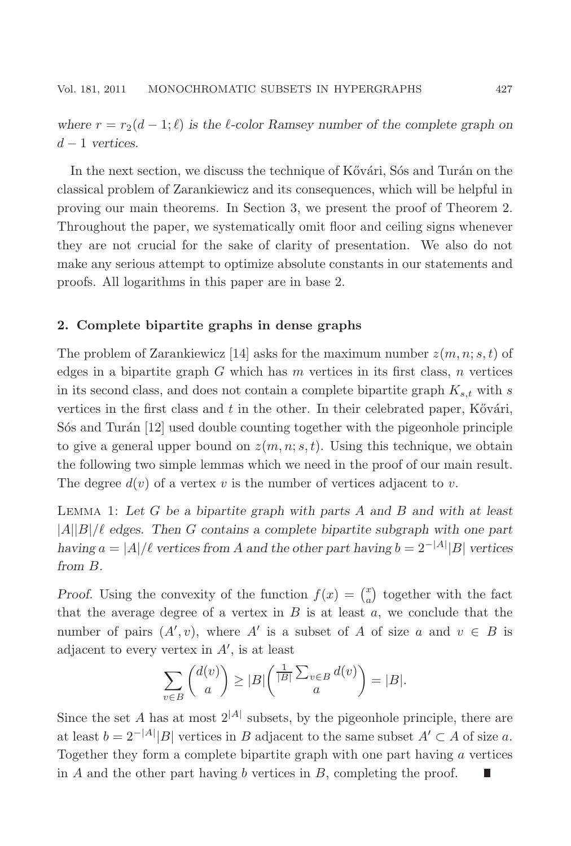*where*  $r = r_2(d-1;\ell)$  *is the l*-color Ramsey number of the complete graph on d − 1 *vertices.*

In the next section, we discuss the technique of Kővári, Sós and Turán on the classical problem of Zarankiewicz and its consequences, which will be helpful in proving our main theorems. In Section 3, we present the proof of Theorem 2. Throughout the paper, we systematically omit floor and ceiling signs whenever they are not crucial for the sake of clarity of presentation. We also do not make any serious attempt to optimize absolute constants in our statements and proofs. All logarithms in this paper are in base 2.

### **2. Complete bipartite graphs in dense graphs**

The problem of Zarankiewicz [14] asks for the maximum number  $z(m, n; s, t)$  of edges in a bipartite graph  $G$  which has  $m$  vertices in its first class,  $n$  vertices in its second class, and does not contain a complete bipartite graph  $K_{s,t}$  with s vertices in the first class and  $t$  in the other. In their celebrated paper, Kővári,  $S$ os and Turán [12] used double counting together with the pigeonhole principle to give a general upper bound on  $z(m, n; s, t)$ . Using this technique, we obtain the following two simple lemmas which we need in the proof of our main result. The degree  $d(v)$  of a vertex v is the number of vertices adjacent to v.

Lemma 1: *Let* G *be a bipartite graph with parts* A *and* B *and with at least*  $|A||B|/\ell$  edges. Then G contains a complete bipartite subgraph with one part *having*  $a = |A|/\ell$  *vertices from* A and the other part having  $b = 2^{-|A|} |B|$  *vertices from* B*.*

*Proof.* Using the convexity of the function  $f(x) = \binom{x}{a}$  together with the fact that the average degree of a vertex in  $B$  is at least  $a$ , we conclude that the number of pairs  $(A', v)$ , where A' is a subset of A of size a and  $v \in B$  is adjacent to every vertex in  $A'$ , is at least

$$
\sum_{v \in B} \binom{d(v)}{a} \ge |B| \binom{\frac{1}{|B|} \sum_{v \in B} d(v)}{a} = |B|.
$$

Since the set A has at most  $2^{|A|}$  subsets, by the pigeonhole principle, there are at least  $b = 2^{-|A|} |B|$  vertices in B adjacent to the same subset  $A' \subset A$  of size a. Together they form a complete bipartite graph with one part having  $a$  vertices in  $A$  and the other part having  $b$  vertices in  $B$ , completing the proof.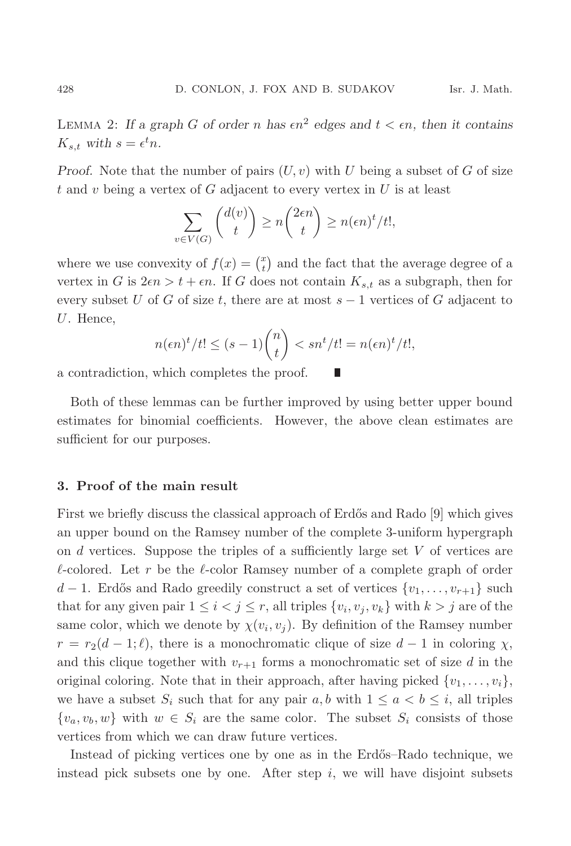LEMMA 2: If a graph G of order n has  $\epsilon n^2$  edges and  $t < \epsilon n$ , then it contains  $K_{s,t}$  with  $s = \epsilon^t n$ .

*Proof.* Note that the number of pairs  $(U, v)$  with U being a subset of G of size t and v being a vertex of G adjacent to every vertex in  $U$  is at least

$$
\sum_{v \in V(G)} \binom{d(v)}{t} \ge n \binom{2\epsilon n}{t} \ge n(\epsilon n)^t / t!,
$$

where we use convexity of  $f(x) = \binom{x}{t}$  and the fact that the average degree of a vertex in G is  $2\epsilon n > t + \epsilon n$ . If G does not contain  $K_{s,t}$  as a subgraph, then for every subset U of G of size t, there are at most  $s-1$  vertices of G adjacent to U. Hence,

$$
n(\epsilon n)^{t}/t! \le (s-1){n \choose t} < sn^{t}/t! = n(\epsilon n)^{t}/t!,
$$

П

a contradiction, which completes the proof.

Both of these lemmas can be further improved by using better upper bound estimates for binomial coefficients. However, the above clean estimates are sufficient for our purposes.

## **3. Proof of the main result**

First we briefly discuss the classical approach of Erdős and Rado [9] which gives an upper bound on the Ramsey number of the complete 3-uniform hypergraph on  $d$  vertices. Suppose the triples of a sufficiently large set  $V$  of vertices are  $\ell$ -colored. Let r be the  $\ell$ -color Ramsey number of a complete graph of order  $d-1$ . Erdős and Rado greedily construct a set of vertices  $\{v_1,\ldots,v_{r+1}\}\,$  such that for any given pair  $1 \leq i < j \leq r$ , all triples  $\{v_i, v_j, v_k\}$  with  $k > j$  are of the same color, which we denote by  $\chi(v_i, v_j)$ . By definition of the Ramsey number  $r = r_2(d-1;\ell)$ , there is a monochromatic clique of size  $d-1$  in coloring  $\chi$ , and this clique together with  $v_{r+1}$  forms a monochromatic set of size d in the original coloring. Note that in their approach, after having picked  $\{v_1,\ldots,v_i\}$ , we have a subset  $S_i$  such that for any pair  $a, b$  with  $1 \le a < b \le i$ , all triples  $\{v_a, v_b, w\}$  with  $w \in S_i$  are the same color. The subset  $S_i$  consists of those vertices from which we can draw future vertices.

Instead of picking vertices one by one as in the Erdős–Rado technique, we instead pick subsets one by one. After step  $i$ , we will have disjoint subsets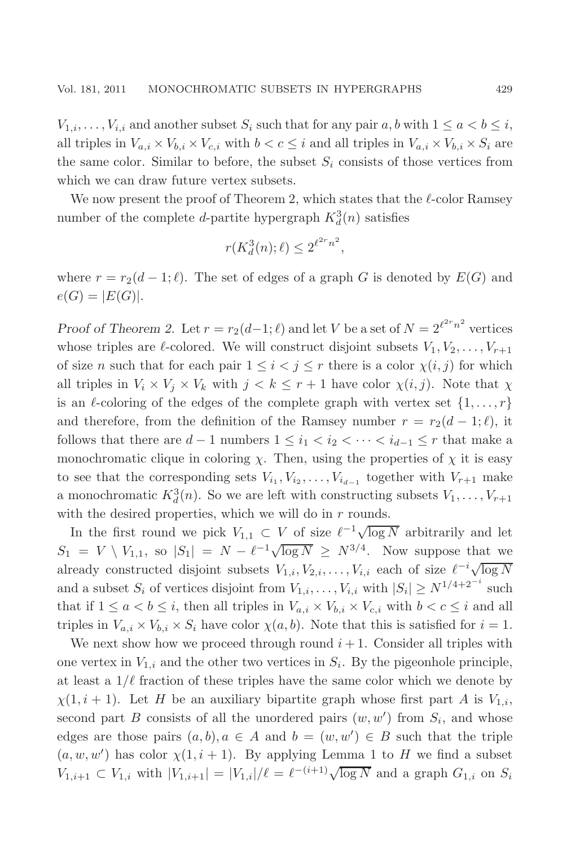$V_{1,i},\ldots,V_{i,i}$  and another subset  $S_i$  such that for any pair  $a, b$  with  $1 \leq a < b \leq i$ , all triples in  $V_{a,i} \times V_{b,i} \times V_{c,i}$  with  $b < c \leq i$  and all triples in  $V_{a,i} \times V_{b,i} \times S_i$  are the same color. Similar to before, the subset  $S_i$  consists of those vertices from which we can draw future vertex subsets.

We now present the proof of Theorem 2, which states that the  $\ell$ -color Ramsey number of the complete *d*-partite hypergraph  $K_d^3(n)$  satisfies

$$
r(K_d^3(n); \ell) \le 2^{\ell^{2r} n^2},
$$

where  $r = r_2(d-1;\ell)$ . The set of edges of a graph G is denoted by  $E(G)$  and  $e(G) = |E(G)|$ .

*Proof of Theorem 2.* Let  $r = r_2(d-1; \ell)$  and let V be a set of  $N = 2^{\ell^2 r_n^2}$  vertices whose triples are  $\ell$ -colored. We will construct disjoint subsets  $V_1, V_2, \ldots, V_{r+1}$ of size n such that for each pair  $1 \leq i < j \leq r$  there is a color  $\chi(i, j)$  for which all triples in  $V_i \times V_j \times V_k$  with  $j < k \leq r + 1$  have color  $\chi(i, j)$ . Note that  $\chi$ is an  $\ell$ -coloring of the edges of the complete graph with vertex set  $\{1,\ldots,r\}$ and therefore, from the definition of the Ramsey number  $r = r_2(d-1;\ell)$ , it follows that there are  $d-1$  numbers  $1 \leq i_1 < i_2 < \cdots < i_{d-1} \leq r$  that make a monochromatic clique in coloring  $\chi$ . Then, using the properties of  $\chi$  it is easy to see that the corresponding sets  $V_{i_1}, V_{i_2}, \ldots, V_{i_{d-1}}$  together with  $V_{r+1}$  make a monochromatic  $K_d^3(n)$ . So we are left with constructing subsets  $V_1, \ldots, V_{r+1}$ with the desired properties, which we will do in  $r$  rounds.

In the first round we pick  $V_{1,1} \subset V$  of size  $\ell^{-1} \sqrt{\log N}$  arbitrarily and let  $S_1 = V \setminus V_{1,1}$ , so  $|S_1| = N - \ell^{-1} \sqrt{\log N} \ge N^{3/4}$ . Now suppose that we already constructed disjoint subsets  $V_{1,i}, V_{2,i},...,V_{i,i}$  each of size  $\ell^{-i}\sqrt{\log N}$ and a subset  $S_i$  of vertices disjoint from  $V_{1,i},\ldots,V_{i,i}$  with  $|S_i| \ge N^{1/4+2^{-i}}$  such that if  $1 \le a < b \le i$ , then all triples in  $V_{a,i} \times V_{b,i} \times V_{c,i}$  with  $b < c \le i$  and all triples in  $V_{a,i} \times V_{b,i} \times S_i$  have color  $\chi(a,b)$ . Note that this is satisfied for  $i = 1$ .

We next show how we proceed through round  $i + 1$ . Consider all triples with one vertex in  $V_{1,i}$  and the other two vertices in  $S_i$ . By the pigeonhole principle, at least a  $1/\ell$  fraction of these triples have the same color which we denote by  $\chi(1, i + 1)$ . Let H be an auxiliary bipartite graph whose first part A is  $V_{1,i}$ , second part B consists of all the unordered pairs  $(w, w')$  from  $S_i$ , and whose edges are those pairs  $(a, b), a \in A$  and  $b = (w, w') \in B$  such that the triple  $(a, w, w')$  has color  $\chi(1, i + 1)$ . By applying Lemma 1 to H we find a subset  $V_{1,i+1} \subset V_{1,i}$  with  $|V_{1,i+1}| = |V_{1,i}|/\ell = \ell^{-(i+1)}\sqrt{\log N}$  and a graph  $G_{1,i}$  on  $S_i$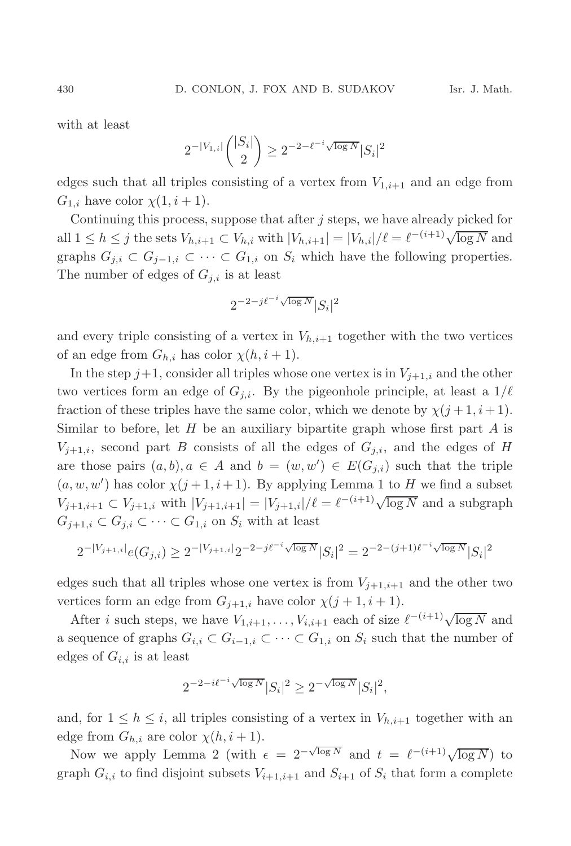with at least

$$
2^{-|V_{1,i}|}\binom{|S_i|}{2}\geq 2^{-2-\ell^{-i}\sqrt{\log N}}|S_i|^2
$$

edges such that all triples consisting of a vertex from  $V_{1,i+1}$  and an edge from  $G_{1,i}$  have color  $\chi(1,i+1)$ .

Continuing this process, suppose that after  $j$  steps, we have already picked for all  $1 \leq h \leq j$  the sets  $V_{h,i+1} \subset V_{h,i}$  with  $|V_{h,i+1}| = |V_{h,i}|/\ell = \ell^{-(i+1)}\sqrt{\log N}$  and graphs  $G_{j,i} \subset G_{j-1,i} \subset \cdots \subset G_{1,i}$  on  $S_i$  which have the following properties. The number of edges of  $G_{i,i}$  is at least

$$
2^{-2-j\ell^{-i}\sqrt{\log N}}|S_i|^2
$$

and every triple consisting of a vertex in  $V_{h,i+1}$  together with the two vertices of an edge from  $G_{h,i}$  has color  $\chi(h, i+1)$ .

In the step  $j+1$ , consider all triples whose one vertex is in  $V_{i+1,i}$  and the other two vertices form an edge of  $G_{j,i}$ . By the pigeonhole principle, at least a  $1/\ell$ fraction of these triples have the same color, which we denote by  $\chi(j+1, i+1)$ . Similar to before, let  $H$  be an auxiliary bipartite graph whose first part  $A$  is  $V_{j+1,i}$ , second part B consists of all the edges of  $G_{j,i}$ , and the edges of H are those pairs  $(a, b), a \in A$  and  $b = (w, w') \in E(G_{j,i})$  such that the triple  $(a, w, w')$  has color  $\chi(j+1, i+1)$ . By applying Lemma 1 to H we find a subset  $V_{j+1,i+1} \subset V_{j+1,i}$  with  $|V_{j+1,i+1}| = |V_{j+1,i}|/\ell = \ell^{-(i+1)} \sqrt{\log N}$  and a subgraph  $G_{j+1,i} \subset G_{j,i} \subset \cdots \subset G_{1,i}$  on  $S_i$  with at least

$$
2^{-|V_{j+1,i}|}e(G_{j,i}) \geq 2^{-|V_{j+1,i}|}2^{-2-j\ell^{-i}\sqrt{\log N}}|S_i|^2 = 2^{-2-(j+1)\ell^{-i}\sqrt{\log N}}|S_i|^2
$$

edges such that all triples whose one vertex is from  $V_{i+1,i+1}$  and the other two vertices form an edge from  $G_{j+1,i}$  have color  $\chi(j+1,i+1)$ .

After *i* such steps, we have  $V_{1,i+1},...,V_{i,i+1}$  each of size  $\ell^{-(i+1)}\sqrt{\log N}$  and a sequence of graphs  $G_{i,i} \subset G_{i-1,i} \subset \cdots \subset G_{1,i}$  on  $S_i$  such that the number of edges of  $G_{i,i}$  is at least

$$
2^{-2-i\ell^{-i}\sqrt{\log N}}|S_i|^2 \geq 2^{-\sqrt{\log N}}|S_i|^2,
$$

and, for  $1 \leq h \leq i$ , all triples consisting of a vertex in  $V_{h,i+1}$  together with an edge from  $G_{h,i}$  are color  $\chi(h, i+1)$ .

Now we apply Lemma 2 (with  $\epsilon = 2^{-\sqrt{\log N}}$  and  $t = \ell^{-(i+1)}\sqrt{\log N}$ ) to graph  $G_{i,i}$  to find disjoint subsets  $V_{i+1,i+1}$  and  $S_{i+1}$  of  $S_i$  that form a complete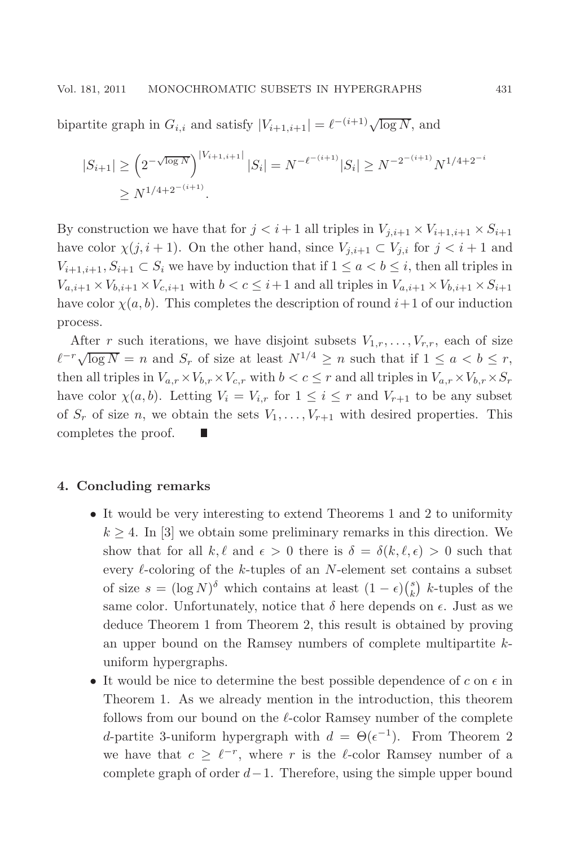bipartite graph in  $G_{i,i}$  and satisfy  $|V_{i+1,i+1}| = \ell^{-(i+1)} \sqrt{\log N}$ , and

$$
|S_{i+1}| \ge \left(2^{-\sqrt{\log N}}\right)^{|V_{i+1,i+1}|} |S_i| = N^{-\ell^{-(i+1)}} |S_i| \ge N^{-2^{-(i+1)}} N^{1/4+2^{-i}}
$$
  

$$
\ge N^{1/4+2^{-(i+1)}}.
$$

By construction we have that for  $j < i + 1$  all triples in  $V_{j,i+1} \times V_{i+1,i+1} \times S_{i+1}$ have color  $\chi(j, i + 1)$ . On the other hand, since  $V_{j,i+1} \subset V_{j,i}$  for  $j < i + 1$  and  $V_{i+1,i+1}, S_{i+1} \subset S_i$  we have by induction that if  $1 \le a < b \le i$ , then all triples in  $V_{a,i+1} \times V_{b,i+1} \times V_{c,i+1}$  with  $b < c \leq i+1$  and all triples in  $V_{a,i+1} \times V_{b,i+1} \times S_{i+1}$ have color  $\chi(a, b)$ . This completes the description of round  $i+1$  of our induction process.

After r such iterations, we have disjoint subsets  $V_{1,r},\ldots,V_{r,r}$ , each of size  $\ell^{-r}\sqrt{\log N} = n$  and  $S_r$  of size at least  $N^{1/4} \geq n$  such that if  $1 \leq a < b \leq r$ , then all triples in  $V_{a,r} \times V_{b,r} \times V_{c,r}$  with  $b < c \leq r$  and all triples in  $V_{a,r} \times V_{b,r} \times S_r$ have color  $\chi(a, b)$ . Letting  $V_i = V_{i,r}$  for  $1 \leq i \leq r$  and  $V_{r+1}$  to be any subset of  $S_r$  of size n, we obtain the sets  $V_1, \ldots, V_{r+1}$  with desired properties. This completes the proof.

### **4. Concluding remarks**

- It would be very interesting to extend Theorems 1 and 2 to uniformity  $k \geq 4$ . In [3] we obtain some preliminary remarks in this direction. We show that for all  $k, \ell$  and  $\epsilon > 0$  there is  $\delta = \delta(k, \ell, \epsilon) > 0$  such that every  $\ell$ -coloring of the k-tuples of an N-element set contains a subset of size  $s = (\log N)^{\delta}$  which contains at least  $(1 - \epsilon) {s \choose k}$  k-tuples of the same color. Unfortunately, notice that  $\delta$  here depends on  $\epsilon$ . Just as we deduce Theorem 1 from Theorem 2, this result is obtained by proving an upper bound on the Ramsey numbers of complete multipartite kuniform hypergraphs.
- $\bullet\,$  It would be nice to determine the best possible dependence of  $c$  on  $\epsilon$  in Theorem 1. As we already mention in the introduction, this theorem follows from our bound on the  $\ell$ -color Ramsey number of the complete d-partite 3-uniform hypergraph with  $d = \Theta(\epsilon^{-1})$ . From Theorem 2 we have that  $c \geq \ell^{-r}$ , where r is the  $\ell$ -color Ramsey number of a complete graph of order  $d-1$ . Therefore, using the simple upper bound